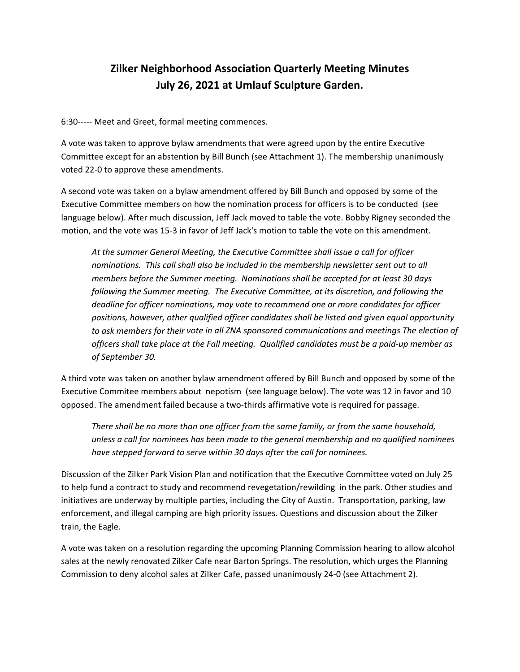# **Zilker Neighborhood Association Quarterly Meeting Minutes July 26, 2021 at Umlauf Sculpture Garden.**

6:30----- Meet and Greet, formal meeting commences.

A vote was taken to approve bylaw amendments that were agreed upon by the entire Executive Committee except for an abstention by Bill Bunch (see Attachment 1). The membership unanimously voted 22‐0 to approve these amendments.

A second vote was taken on a bylaw amendment offered by Bill Bunch and opposed by some of the Executive Committee members on how the nomination process for officers is to be conducted (see language below). After much discussion, Jeff Jack moved to table the vote. Bobby Rigney seconded the motion, and the vote was 15‐3 in favor of Jeff Jack's motion to table the vote on this amendment.

*At the summer General Meeting, the Executive Committee shall issue a call for officer nominations. This call shall also be included in the membership newsletter sent out to all members before the Summer meeting. Nominations shall be accepted for at least 30 days following the Summer meeting. The Executive Committee, at its discretion, and following the deadline for officer nominations, may vote to recommend one or more candidates for officer positions, however, other qualified officer candidates shall be listed and given equal opportunity to ask members for their vote in all ZNA sponsored communications and meetings The election of* officers shall take place at the Fall meeting. Qualified candidates must be a paid-up member as *of September 30.* 

A third vote was taken on another bylaw amendment offered by Bill Bunch and opposed by some of the Executive Commitee members about nepotism (see language below). The vote was 12 in favor and 10 opposed. The amendment failed because a two‐thirds affirmative vote is required for passage.

*There shall be no more than one officer from the same family, or from the same household, unless a call for nominees has been made to the general membership and no qualified nominees have stepped forward to serve within 30 days after the call for nominees.*

Discussion of the Zilker Park Vision Plan and notification that the Executive Committee voted on July 25 to help fund a contract to study and recommend revegetation/rewilding in the park. Other studies and initiatives are underway by multiple parties, including the City of Austin. Transportation, parking, law enforcement, and illegal camping are high priority issues. Questions and discussion about the Zilker train, the Eagle.

A vote was taken on a resolution regarding the upcoming Planning Commission hearing to allow alcohol sales at the newly renovated Zilker Cafe near Barton Springs. The resolution, which urges the Planning Commission to deny alcohol sales at Zilker Cafe, passed unanimously 24‐0 (see Attachment 2).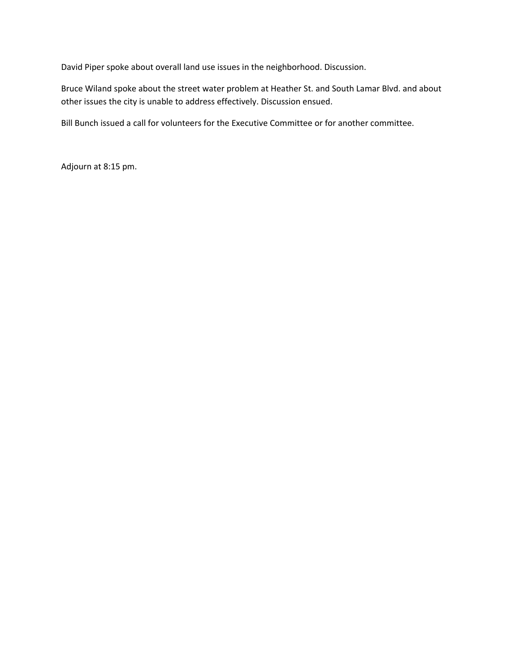David Piper spoke about overall land use issues in the neighborhood. Discussion.

Bruce Wiland spoke about the street water problem at Heather St. and South Lamar Blvd. and about other issues the city is unable to address effectively. Discussion ensued.

Bill Bunch issued a call for volunteers for the Executive Committee or for another committee.

Adjourn at 8:15 pm.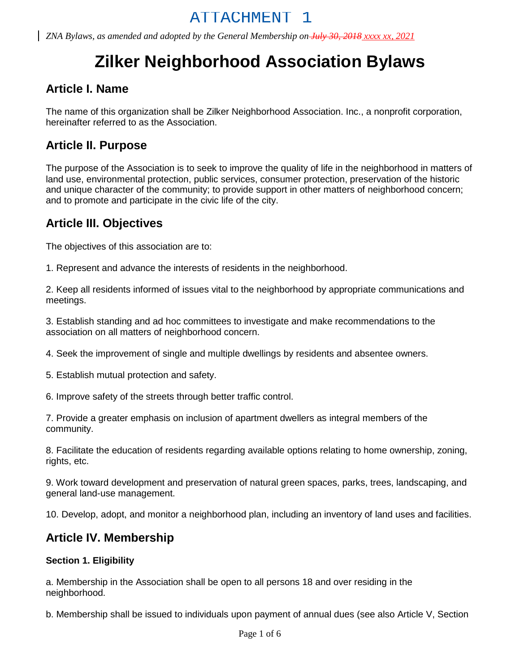# **Zilker Neighborhood Association Bylaws**

# **Article I. Name**

The name of this organization shall be Zilker Neighborhood Association. Inc., a nonprofit corporation, hereinafter referred to as the Association.

# **Article II. Purpose**

The purpose of the Association is to seek to improve the quality of life in the neighborhood in matters of land use, environmental protection, public services, consumer protection, preservation of the historic and unique character of the community; to provide support in other matters of neighborhood concern; and to promote and participate in the civic life of the city.

# **Article III. Objectives**

The objectives of this association are to:

1. Represent and advance the interests of residents in the neighborhood.

2. Keep all residents informed of issues vital to the neighborhood by appropriate communications and meetings.

3. Establish standing and ad hoc committees to investigate and make recommendations to the association on all matters of neighborhood concern.

4. Seek the improvement of single and multiple dwellings by residents and absentee owners.

5. Establish mutual protection and safety.

6. Improve safety of the streets through better traffic control.

7. Provide a greater emphasis on inclusion of apartment dwellers as integral members of the community.

8. Facilitate the education of residents regarding available options relating to home ownership, zoning, rights, etc.

9. Work toward development and preservation of natural green spaces, parks, trees, landscaping, and general land-use management.

10. Develop, adopt, and monitor a neighborhood plan, including an inventory of land uses and facilities.

### **Article IV. Membership**

#### **Section 1. Eligibility**

a. Membership in the Association shall be open to all persons 18 and over residing in the neighborhood.

b. Membership shall be issued to individuals upon payment of annual dues (see also Article V, Section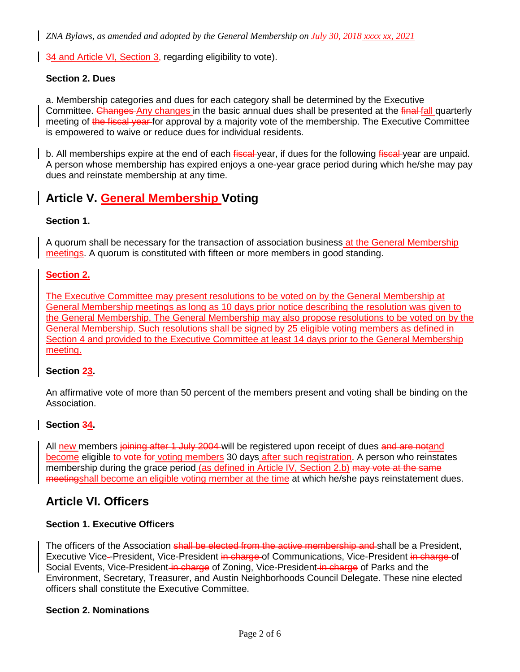$\frac{34}{4}$  and Article VI, Section 3, regarding eligibility to vote).

#### **Section 2. Dues**

a. Membership categories and dues for each category shall be determined by the Executive Committee. Changes Any changes in the basic annual dues shall be presented at the final fall quarterly meeting of the fiscal year for approval by a majority vote of the membership. The Executive Committee is empowered to waive or reduce dues for individual residents.

b. All memberships expire at the end of each fiscal-year, if dues for the following fiscal-year are unpaid. A person whose membership has expired enjoys a one-year grace period during which he/she may pay dues and reinstate membership at any time.

# **Article V. General Membership Voting**

#### **Section 1.**

A quorum shall be necessary for the transaction of association business at the General Membership meetings. A quorum is constituted with fifteen or more members in good standing.

#### **Section 2.**

The Executive Committee may present resolutions to be voted on by the General Membership at General Membership meetings as long as 10 days prior notice describing the resolution was given to the General Membership. The General Membership may also propose resolutions to be voted on by the General Membership. Such resolutions shall be signed by 25 eligible voting members as defined in Section 4 and provided to the Executive Committee at least 14 days prior to the General Membership meeting.

#### **Section 23.**

An affirmative vote of more than 50 percent of the members present and voting shall be binding on the Association.

#### **Section 34.**

All new members joining after 1 July 2004-will be registered upon receipt of dues and are notand become eligible to vote for voting members 30 days after such registration. A person who reinstates membership during the grace period (as defined in Article IV, Section 2.b) may vote at the same meetingshall become an eligible voting member at the time at which he/she pays reinstatement dues.

### **Article VI. Officers**

#### **Section 1. Executive Officers**

The officers of the Association shall be elected from the active membership and shall be a President, Executive Vice-President, Vice-President in charge of Communications, Vice-President in charge of Social Events, Vice-President in charge of Zoning, Vice-President in charge of Parks and the Environment, Secretary, Treasurer, and Austin Neighborhoods Council Delegate. These nine elected officers shall constitute the Executive Committee.

#### **Section 2. Nominations**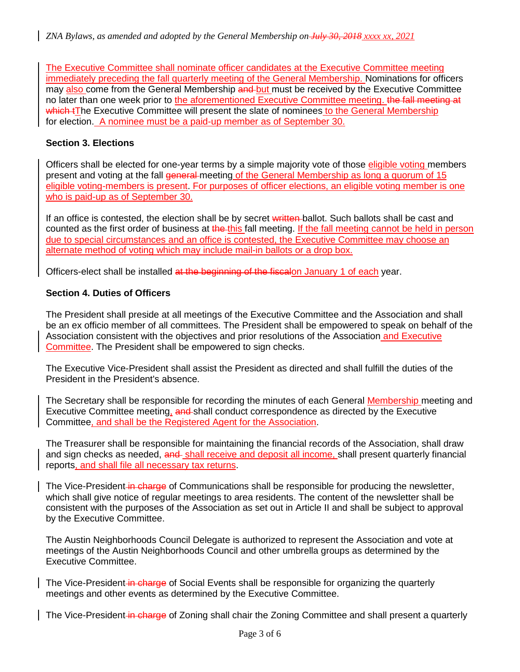The Executive Committee shall nominate officer candidates at the Executive Committee meeting immediately preceding the fall quarterly meeting of the General Membership. Nominations for officers may also come from the General Membership and but must be received by the Executive Committee no later than one week prior to the aforementioned Executive Committee meeting. the fall meeting at which tThe Executive Committee will present the slate of nominees to the General Membership for election. A nominee must be a paid-up member as of September 30.

#### **Section 3. Elections**

Officers shall be elected for one-year terms by a simple majority vote of those eligible voting members present and voting at the fall general meeting of the General Membership as long a quorum of 15 eligible voting-members is present. For purposes of officer elections, an eligible voting member is one who is paid-up as of September 30.

If an office is contested, the election shall be by secret written-ballot. Such ballots shall be cast and counted as the first order of business at the this fall meeting. If the fall meeting cannot be held in person due to special circumstances and an office is contested, the Executive Committee may choose an alternate method of voting which may include mail-in ballots or a drop box.

Officers-elect shall be installed at the beginning of the fiscalon January 1 of each year.

#### **Section 4. Duties of Officers**

The President shall preside at all meetings of the Executive Committee and the Association and shall be an ex officio member of all committees. The President shall be empowered to speak on behalf of the Association consistent with the objectives and prior resolutions of the Association and Executive Committee. The President shall be empowered to sign checks.

The Executive Vice-President shall assist the President as directed and shall fulfill the duties of the President in the President's absence.

The Secretary shall be responsible for recording the minutes of each General Membership meeting and Executive Committee meeting, and shall conduct correspondence as directed by the Executive Committee, and shall be the Registered Agent for the Association.

The Treasurer shall be responsible for maintaining the financial records of the Association, shall draw and sign checks as needed, and shall receive and deposit all income, shall present quarterly financial reports, and shall file all necessary tax returns.

The Vice-President in charge of Communications shall be responsible for producing the newsletter, which shall give notice of regular meetings to area residents. The content of the newsletter shall be consistent with the purposes of the Association as set out in Article II and shall be subject to approval by the Executive Committee.

The Austin Neighborhoods Council Delegate is authorized to represent the Association and vote at meetings of the Austin Neighborhoods Council and other umbrella groups as determined by the Executive Committee.

The Vice-President in charge of Social Events shall be responsible for organizing the quarterly meetings and other events as determined by the Executive Committee.

The Vice-President in charge of Zoning shall chair the Zoning Committee and shall present a quarterly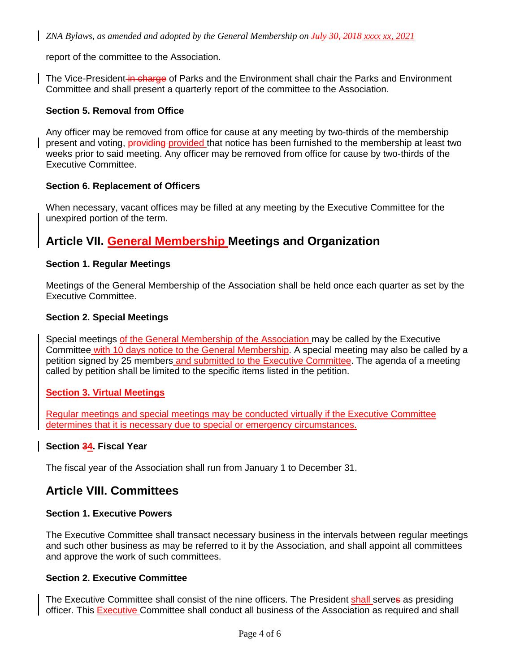report of the committee to the Association.

The Vice-President in charge of Parks and the Environment shall chair the Parks and Environment Committee and shall present a quarterly report of the committee to the Association.

#### **Section 5. Removal from Office**

Any officer may be removed from office for cause at any meeting by two-thirds of the membership present and voting, providing provided that notice has been furnished to the membership at least two weeks prior to said meeting. Any officer may be removed from office for cause by two-thirds of the Executive Committee.

#### **Section 6. Replacement of Officers**

When necessary, vacant offices may be filled at any meeting by the Executive Committee for the unexpired portion of the term.

# **Article VII. General Membership Meetings and Organization**

#### **Section 1. Regular Meetings**

Meetings of the General Membership of the Association shall be held once each quarter as set by the Executive Committee.

#### **Section 2. Special Meetings**

Special meetings of the General Membership of the Association may be called by the Executive Committee with 10 days notice to the General Membership. A special meeting may also be called by a petition signed by 25 members and submitted to the Executive Committee. The agenda of a meeting called by petition shall be limited to the specific items listed in the petition.

#### **Section 3. Virtual Meetings**

Regular meetings and special meetings may be conducted virtually if the Executive Committee determines that it is necessary due to special or emergency circumstances.

#### **Section 34. Fiscal Year**

The fiscal year of the Association shall run from January 1 to December 31.

### **Article VIII. Committees**

#### **Section 1. Executive Powers**

The Executive Committee shall transact necessary business in the intervals between regular meetings and such other business as may be referred to it by the Association, and shall appoint all committees and approve the work of such committees.

#### **Section 2. Executive Committee**

The Executive Committee shall consist of the nine officers. The President shall serves as presiding officer. This **Executive Committee shall conduct all business of the Association as required and shall**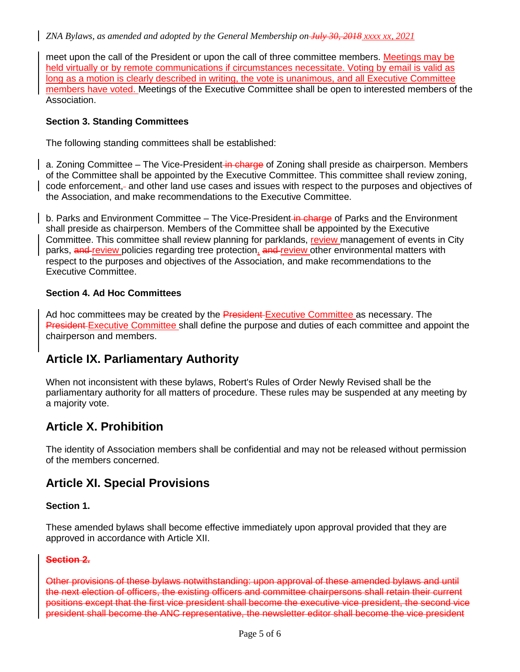meet upon the call of the President or upon the call of three committee members. Meetings may be held virtually or by remote communications if circumstances necessitate. Voting by email is valid as long as a motion is clearly described in writing, the vote is unanimous, and all Executive Committee members have voted. Meetings of the Executive Committee shall be open to interested members of the Association.

#### **Section 3. Standing Committees**

The following standing committees shall be established:

a. Zoning Committee – The Vice-President in charge of Zoning shall preside as chairperson. Members of the Committee shall be appointed by the Executive Committee. This committee shall review zoning, code enforcement, and other land use cases and issues with respect to the purposes and objectives of the Association, and make recommendations to the Executive Committee.

b. Parks and Environment Committee – The Vice-President in charge of Parks and the Environment shall preside as chairperson. Members of the Committee shall be appointed by the Executive Committee. This committee shall review planning for parklands, review management of events in City parks, and review policies regarding tree protection, and review other environmental matters with respect to the purposes and objectives of the Association, and make recommendations to the Executive Committee.

#### **Section 4. Ad Hoc Committees**

Ad hoc committees may be created by the President-Executive Committee as necessary. The President-Executive Committee shall define the purpose and duties of each committee and appoint the chairperson and members.

# **Article IX. Parliamentary Authority**

When not inconsistent with these bylaws, Robert's Rules of Order Newly Revised shall be the parliamentary authority for all matters of procedure. These rules may be suspended at any meeting by a majority vote.

# **Article X. Prohibition**

The identity of Association members shall be confidential and may not be released without permission of the members concerned.

# **Article XI. Special Provisions**

#### **Section 1.**

These amended bylaws shall become effective immediately upon approval provided that they are approved in accordance with Article XII.

#### **Section 2.**

Other provisions of these bylaws notwithstanding: upon approval of these amended bylaws and until the next election of officers, the existing officers and committee chairpersons shall retain their current positions except that the first vice president shall become the executive vice president, the second vice president shall become the ANC representative, the newsletter editor shall become the vice president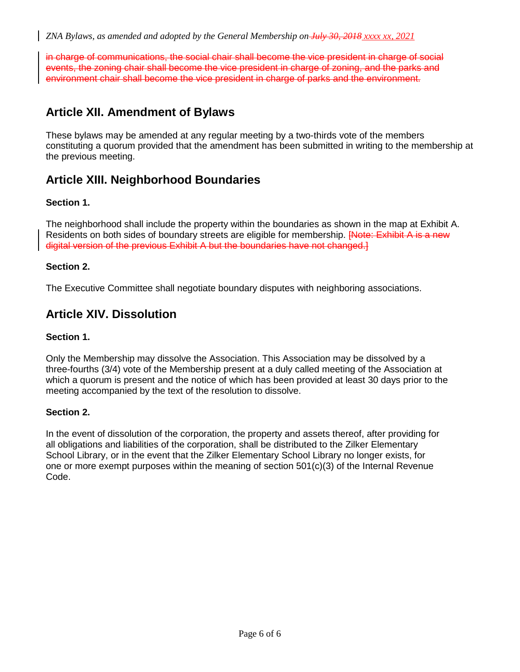in charge of communications, the social chair shall become the vice president in charge of social events, the zoning chair shall become the vice president in charge of zoning, and the parks and environment chair shall become the vice president in charge of parks and the environment.

# **Article XII. Amendment of Bylaws**

These bylaws may be amended at any regular meeting by a two-thirds vote of the members constituting a quorum provided that the amendment has been submitted in writing to the membership at the previous meeting.

# **Article XIII. Neighborhood Boundaries**

#### **Section 1.**

The neighborhood shall include the property within the boundaries as shown in the map at Exhibit A. Residents on both sides of boundary streets are eligible for membership. <del>[Note: Exhibit A is a new</del> digital version of the previous Exhibit A but the boundaries have not changed.]

#### **Section 2.**

The Executive Committee shall negotiate boundary disputes with neighboring associations.

# **Article XIV. Dissolution**

#### **Section 1.**

Only the Membership may dissolve the Association. This Association may be dissolved by a three-fourths (3/4) vote of the Membership present at a duly called meeting of the Association at which a quorum is present and the notice of which has been provided at least 30 days prior to the meeting accompanied by the text of the resolution to dissolve.

#### **Section 2.**

In the event of dissolution of the corporation, the property and assets thereof, after providing for all obligations and liabilities of the corporation, shall be distributed to the Zilker Elementary School Library, or in the event that the Zilker Elementary School Library no longer exists, for one or more exempt purposes within the meaning of section 501(c)(3) of the Internal Revenue Code.